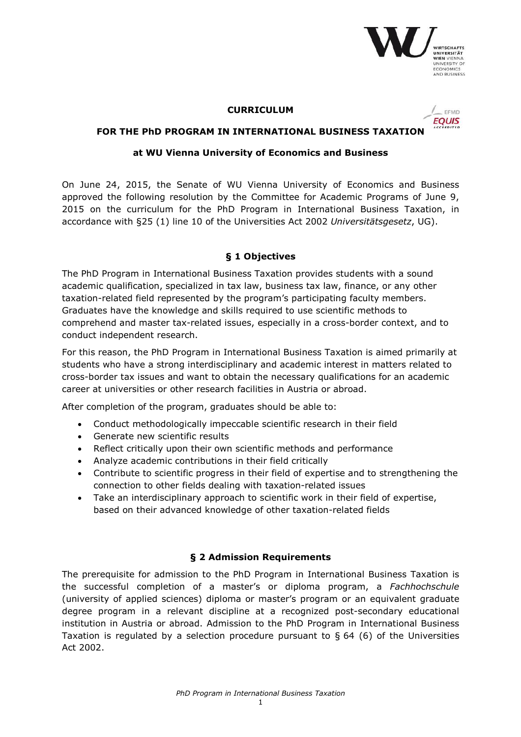

#### **CURRICULUM**



### **FOR THE PhD PROGRAM IN INTERNATIONAL BUSINESS TAXATION**

#### **at WU Vienna University of Economics and Business**

On June 24, 2015, the Senate of WU Vienna University of Economics and Business approved the following resolution by the Committee for Academic Programs of June 9, 2015 on the curriculum for the PhD Program in International Business Taxation, in accordance with §25 (1) line 10 of the Universities Act 2002 *Universitätsgesetz*, UG).

#### **§ 1 Objectives**

The PhD Program in International Business Taxation provides students with a sound academic qualification, specialized in tax law, business tax law, finance, or any other taxation-related field represented by the program's participating faculty members. Graduates have the knowledge and skills required to use scientific methods to comprehend and master tax-related issues, especially in a cross-border context, and to conduct independent research.

For this reason, the PhD Program in International Business Taxation is aimed primarily at students who have a strong interdisciplinary and academic interest in matters related to cross-border tax issues and want to obtain the necessary qualifications for an academic career at universities or other research facilities in Austria or abroad.

After completion of the program, graduates should be able to:

- Conduct methodologically impeccable scientific research in their field
- Generate new scientific results
- Reflect critically upon their own scientific methods and performance
- Analyze academic contributions in their field critically
- Contribute to scientific progress in their field of expertise and to strengthening the connection to other fields dealing with taxation-related issues
- Take an interdisciplinary approach to scientific work in their field of expertise, based on their advanced knowledge of other taxation-related fields

### **§ 2 Admission Requirements**

The prerequisite for admission to the PhD Program in International Business Taxation is the successful completion of a master's or diploma program, a *Fachhochschule* (university of applied sciences) diploma or master's program or an equivalent graduate degree program in a relevant discipline at a recognized post-secondary educational institution in Austria or abroad. Admission to the PhD Program in International Business Taxation is regulated by a selection procedure pursuant to  $\S$  64 (6) of the Universities Act 2002.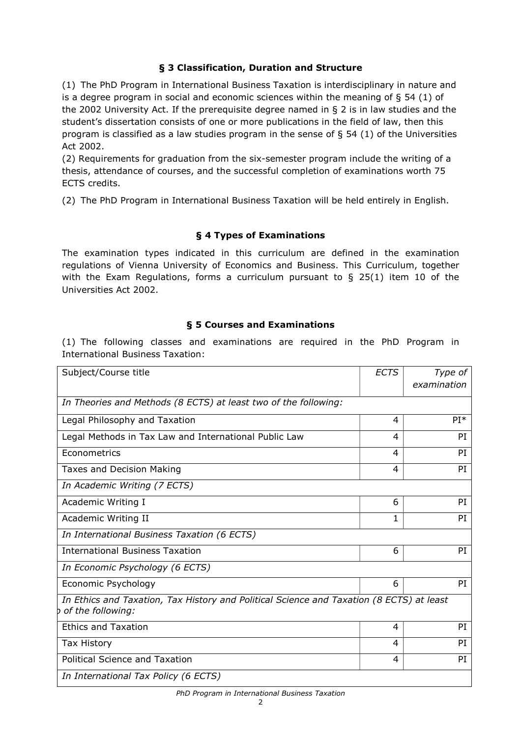# **§ 3 Classification, Duration and Structure**

(1) The PhD Program in International Business Taxation is interdisciplinary in nature and is a degree program in social and economic sciences within the meaning of  $\S$  54 (1) of the 2002 University Act. If the prerequisite degree named in § 2 is in law studies and the student's dissertation consists of one or more publications in the field of law, then this program is classified as a law studies program in the sense of § 54 (1) of the Universities Act 2002.

(2) Requirements for graduation from the six-semester program include the writing of a thesis, attendance of courses, and the successful completion of examinations worth 75 ECTS credits.

(2) The PhD Program in International Business Taxation will be held entirely in English.

# **§ 4 Types of Examinations**

The examination types indicated in this curriculum are defined in the examination regulations of Vienna University of Economics and Business. This Curriculum, together with the Exam Regulations, forms a curriculum pursuant to  $\S$  25(1) item 10 of the Universities Act 2002.

# **§ 5 Courses and Examinations**

(1) The following classes and examinations are required in the PhD Program in International Business Taxation:

| Subject/Course title                                                                                            | <b>ECTS</b> | Type of<br>examination |
|-----------------------------------------------------------------------------------------------------------------|-------------|------------------------|
| In Theories and Methods (8 ECTS) at least two of the following:                                                 |             |                        |
| Legal Philosophy and Taxation                                                                                   | 4           | $PI*$                  |
| Legal Methods in Tax Law and International Public Law                                                           | 4           | PI                     |
| Econometrics                                                                                                    | 4           | PI                     |
| Taxes and Decision Making                                                                                       | 4           | PI                     |
| In Academic Writing (7 ECTS)                                                                                    |             |                        |
| Academic Writing I                                                                                              | 6           | PI                     |
| Academic Writing II                                                                                             | 1           | PI                     |
| In International Business Taxation (6 ECTS)                                                                     |             |                        |
| <b>International Business Taxation</b>                                                                          | 6           | PI                     |
| In Economic Psychology (6 ECTS)                                                                                 |             |                        |
| Economic Psychology                                                                                             | 6           | PI                     |
| In Ethics and Taxation, Tax History and Political Science and Taxation (8 ECTS) at least<br>b of the following: |             |                        |
| <b>Ethics and Taxation</b>                                                                                      | 4           | PI                     |
| Tax History                                                                                                     | 4           | PI                     |
| <b>Political Science and Taxation</b>                                                                           | 4           | PI                     |
| In International Tax Policy (6 ECTS)                                                                            |             |                        |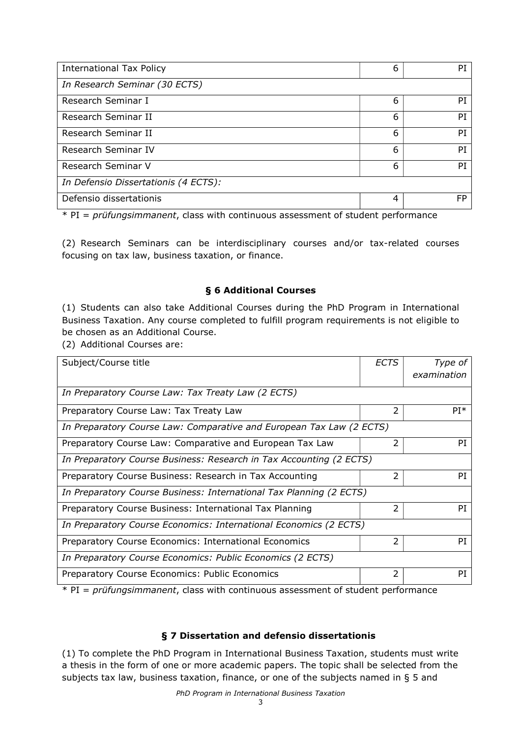| <b>International Tax Policy</b>      | 6 | PI        |  |
|--------------------------------------|---|-----------|--|
| In Research Seminar (30 ECTS)        |   |           |  |
| Research Seminar I                   | 6 | PI        |  |
| Research Seminar II                  | 6 | PI        |  |
| Research Seminar II                  | 6 | PI        |  |
| Research Seminar IV                  | 6 | PI        |  |
| Research Seminar V                   | 6 | PI        |  |
| In Defensio Dissertationis (4 ECTS): |   |           |  |
| Defensio dissertationis              | 4 | <b>FP</b> |  |

\* PI = *prüfungsimmanent*, class with continuous assessment of student performance

(2) Research Seminars can be interdisciplinary courses and/or tax-related courses focusing on tax law, business taxation, or finance.

### **§ 6 Additional Courses**

(1) Students can also take Additional Courses during the PhD Program in International Business Taxation. Any course completed to fulfill program requirements is not eligible to be chosen as an Additional Course.

(2) Additional Courses are:

| Subject/Course title                                                 | <b>ECTS</b> | Type of<br>examination |  |  |
|----------------------------------------------------------------------|-------------|------------------------|--|--|
| In Preparatory Course Law: Tax Treaty Law (2 ECTS)                   |             |                        |  |  |
| Preparatory Course Law: Tax Treaty Law                               | 2           | $PI^*$                 |  |  |
| In Preparatory Course Law: Comparative and European Tax Law (2 ECTS) |             |                        |  |  |
| Preparatory Course Law: Comparative and European Tax Law             | 2           | PI                     |  |  |
| In Preparatory Course Business: Research in Tax Accounting (2 ECTS)  |             |                        |  |  |
| Preparatory Course Business: Research in Tax Accounting              | 2           | PI                     |  |  |
| In Preparatory Course Business: International Tax Planning (2 ECTS)  |             |                        |  |  |
| Preparatory Course Business: International Tax Planning              | 2           | PI                     |  |  |
| In Preparatory Course Economics: International Economics (2 ECTS)    |             |                        |  |  |
| Preparatory Course Economics: International Economics                | 2           | PI                     |  |  |
| In Preparatory Course Economics: Public Economics (2 ECTS)           |             |                        |  |  |
| Preparatory Course Economics: Public Economics                       | 2           | PI                     |  |  |

\* PI = *prüfungsimmanent*, class with continuous assessment of student performance

### **§ 7 Dissertation and defensio dissertationis**

(1) To complete the PhD Program in International Business Taxation, students must write a thesis in the form of one or more academic papers. The topic shall be selected from the subjects tax law, business taxation, finance, or one of the subjects named in § 5 and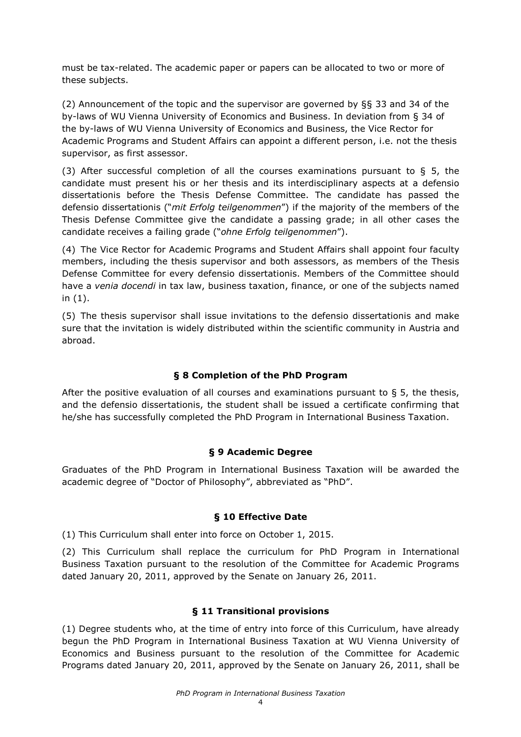must be tax-related. The academic paper or papers can be allocated to two or more of these subjects.

(2) Announcement of the topic and the supervisor are governed by §§ 33 and 34 of the by-laws of WU Vienna University of Economics and Business. In deviation from § 34 of the by-laws of WU Vienna University of Economics and Business, the Vice Rector for Academic Programs and Student Affairs can appoint a different person, i.e. not the thesis supervisor, as first assessor.

(3) After successful completion of all the courses examinations pursuant to  $\S$  5, the candidate must present his or her thesis and its interdisciplinary aspects at a defensio dissertationis before the Thesis Defense Committee. The candidate has passed the defensio dissertationis ("*mit Erfolg teilgenommen*") if the majority of the members of the Thesis Defense Committee give the candidate a passing grade; in all other cases the candidate receives a failing grade ("*ohne Erfolg teilgenommen*").

(4) The Vice Rector for Academic Programs and Student Affairs shall appoint four faculty members, including the thesis supervisor and both assessors, as members of the Thesis Defense Committee for every defensio dissertationis. Members of the Committee should have a *venia docendi* in tax law, business taxation, finance, or one of the subjects named in (1).

(5) The thesis supervisor shall issue invitations to the defensio dissertationis and make sure that the invitation is widely distributed within the scientific community in Austria and abroad.

### **§ 8 Completion of the PhD Program**

After the positive evaluation of all courses and examinations pursuant to  $\epsilon$  5, the thesis, and the defensio dissertationis, the student shall be issued a certificate confirming that he/she has successfully completed the PhD Program in International Business Taxation.

### **§ 9 Academic Degree**

Graduates of the PhD Program in International Business Taxation will be awarded the academic degree of "Doctor of Philosophy", abbreviated as "PhD".

### **§ 10 Effective Date**

(1) This Curriculum shall enter into force on October 1, 2015.

(2) This Curriculum shall replace the curriculum for PhD Program in International Business Taxation pursuant to the resolution of the Committee for Academic Programs dated January 20, 2011, approved by the Senate on January 26, 2011.

### **§ 11 Transitional provisions**

(1) Degree students who, at the time of entry into force of this Curriculum, have already begun the PhD Program in International Business Taxation at WU Vienna University of Economics and Business pursuant to the resolution of the Committee for Academic Programs dated January 20, 2011, approved by the Senate on January 26, 2011, shall be